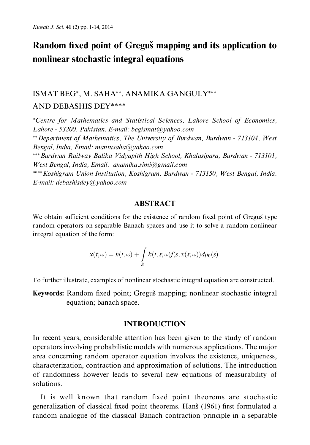## Random fixed point of Greguš mapping and its application to nonlinear stochastic integral equations

### ISMAT BEG\*, M. SAHA\*\*, ANAMIKA GANGULY\*\*\* **AND DEBASHIS DEY\*\*\*\***

\*Centre for Mathematics and Statistical Sciences, Lahore School of Economics, Lahore - 53200, Pakistan, E-mail: begismat@vahoo.com \*\* Department of Mathematics, The University of Burdwan, Burdwan - 713104, West Bengal, India, Email: mantusaha@yahoo.com \*\*\* Burdwan Railway Balika Vidyapith High School, Khalasipara, Burdwan - 713101, West Bengal, India, Email: anamika.simi@gmail.com \*\*\*\* Koshigram Union Institution, Koshigram, Burdwan - 713150, West Bengal, India. E-mail: debashisdev@vahoo.com

#### **ABSTRACT**

We obtain sufficient conditions for the existence of random fixed point of Greguš type random operators on separable Banach spaces and use it to solve a random nonlinear integral equation of the form:

$$
x(t; \omega) = h(t; \omega) + \int_{S} k(t, s; \omega) f(s, x(s; \omega)) d\mu_0(s).
$$

To further illustrate, examples of nonlinear stochastic integral equation are constructed.

Keywords: Random fixed point; Greguš mapping; nonlinear stochastic integral equation; banach space.

#### **INTRODUCTION**

In recent years, considerable attention has been given to the study of random operators involving probabilistic models with numerous applications. The major area concerning random operator equation involves the existence, uniqueness, characterization, contraction and approximation of solutions. The introduction of randomness however leads to several new equations of measurability of solutions.

It is well known that random fixed point theorems are stochastic generalization of classical fixed point theorems. Hanš (1961) first formulated a random analogue of the classical Banach contraction principle in a separable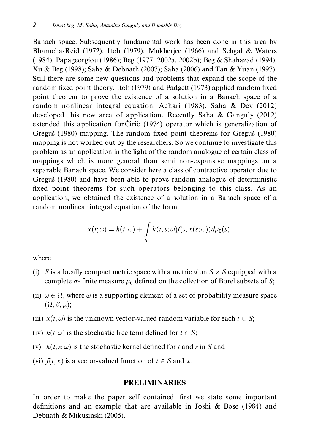Banach space. Subsequently fundamental work has been done in this area by Bharucha-Reid (1972); Itoh (1979); Mukherjee (1966) and Sehgal & Waters (1984); Papageorgiou (1986); Beg (1977, 2002a, 2002b); Beg & Shahazad (1994); Xu & Beg (1998); Saha & Debnath (2007); Saha (2006) and Tan & Yuan (1997). Still there are some new questions and problems that expand the scope of the random fixed point theory. Itoh (1979) and Padgett (1973) applied random fixed point theorem to prove the existence of a solution in a Banach space of a random nonlinear integral equation. Achari (1983), Saha & Dey (2012) developed this new area of application. Recently Saha  $\&$  Ganguly (2012) extended this application for Ciric (1974) operator which is generalization of Greguš (1980) mapping. The random fixed point theorems for Greguš (1980) mapping is not worked out by the researchers. So we continue to investigate this problem as an application in the light of the random analogue of certain class of mappings which is more general than semi non-expansive mappings on a separable Banach space. We consider here a class of contractive operator due to Greguš (1980) and have been able to prove random analogue of deterministic fixed point theorems for such operators belonging to this class. As an application, we obtained the existence of a solution in a Banach space of a random nonlinear integral equation of the form:

$$
x(t; \omega) = h(t; \omega) + \int\limits_{S} k(t, s; \omega) f(s, x(s; \omega)) d\mu_0(s)
$$

where

- (i) S is a locally compact metric space with a metric d on  $S \times S$  equipped with a complete  $\sigma$ - finite measure  $\mu_0$  defined on the collection of Borel subsets of S;
- (ii)  $\omega \in \Omega$ , where  $\omega$  is a supporting element of a set of probability measure space  $(\Omega, \beta, \mu);$
- (iii)  $x(t; \omega)$  is the unknown vector-valued random variable for each  $t \in S$ ;
- (iv)  $h(t; \omega)$  is the stochastic free term defined for  $t \in S$ ;
- (v)  $k(t, s; \omega)$  is the stochastic kernel defined for t and s in S and
- (vi)  $f(t, x)$  is a vector-valued function of  $t \in S$  and x.

#### **PRELIMINARIES**

In order to make the paper self contained, first we state some important definitions and an example that are available in Joshi & Bose (1984) and Debnath & Mikusinski (2005).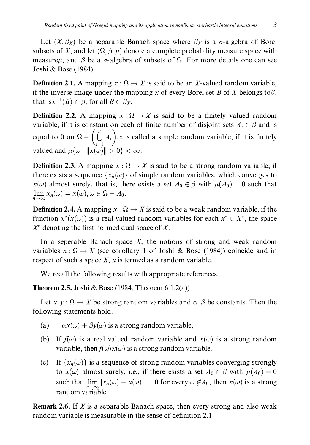Let  $(X, \beta_X)$  be a separable Banach space where  $\beta_X$  is a  $\sigma$ -algebra of Borel subsets of X, and let  $(\Omega, \beta, \mu)$  denote a complete probability measure space with measure<sub>l</sub>, and  $\beta$  be a  $\sigma$ -algebra of subsets of  $\Omega$ . For more details one can see Joshi & Bose (1984).

**Definition 2.1.** A mapping  $x : \Omega \to X$  is said to be an X-valued random variable. if the inverse image under the mapping x of every Borel set B of X belongs to  $\beta$ , that is  $x^{-1}(B) \in \beta$ , for all  $B \in \beta_X$ .

**Definition 2.2.** A mapping  $x : \Omega \to X$  is said to be a finitely valued random variable, if it is constant on each of finite number of disjoint sets  $A_i \in \beta$  and is equal to 0 on  $\Omega - \left(\bigcup_{i=1}^{n} A_i\right)$ .x is called a simple random variable, if it is finitely valued and  $\mu\{\omega : ||x(\omega)|| > 0\} < \infty$ .

**Definition 2.3.** A mapping  $x : \Omega \to X$  is said to be a strong random variable, if there exists a sequence  $\{x_n(\omega)\}\$  of simple random variables, which converges to  $x(\omega)$  almost surely, that is, there exists a set  $A_0 \in \beta$  with  $\mu(A_0) = 0$  such that  $\lim_{n\to\infty}x_n(\omega)=x(\omega), \omega\in\Omega-A_0.$ 

**Definition 2.4.** A mapping  $x : \Omega \to X$  is said to be a weak random variable, if the function  $x^*(x(\omega))$  is a real valued random variables for each  $x^* \in X^*$ , the space  $X^*$  denoting the first normed dual space of X.

In a seperable Banach space  $X$ , the notions of strong and weak random variables  $x : \Omega \to X$  (see corollary 1 of Joshi & Bose (1984)) coincide and in respect of such a space X, x is termed as a random variable.

We recall the following results with appropriate references.

**Theorem 2.5.** Joshi & Bose (1984, Theorem  $6.1.2(a)$ )

Let x,  $y : \Omega \to X$  be strong random variables and  $\alpha, \beta$  be constants. Then the following statements hold.

- $\alpha x(\omega) + \beta y(\omega)$  is a strong random variable, (a)
- (b) If  $f(\omega)$  is a real valued random variable and  $x(\omega)$  is a strong random variable, then  $f(\omega)x(\omega)$  is a strong random variable.
- $(c)$ If  $\{x_n(\omega)\}\$ is a sequence of strong random variables converging strongly to  $x(\omega)$  almost surely, i.e., if there exists a set  $A_0 \in \beta$  with  $\mu(A_0) = 0$ such that  $\lim ||x_n(\omega) - x(\omega)|| = 0$  for every  $\omega \notin A_0$ , then  $x(\omega)$  is a strong random variable.

**Remark 2.6.** If X is a separable Banach space, then every strong and also weak random variable is measurable in the sense of definition 2.1.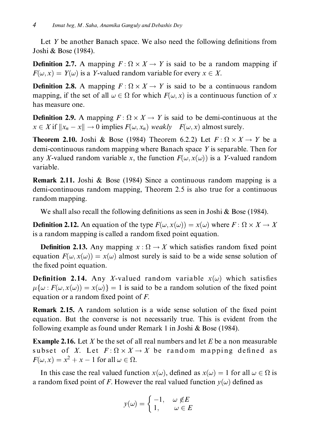Let Y be another Banach space. We also need the following definitions from Joshi & Bose (1984).

**Definition 2.7.** A mapping  $F: \Omega \times X \rightarrow Y$  is said to be a random mapping if  $F(\omega, x) = Y(\omega)$  is a Y-valued random variable for every  $x \in X$ .

**Definition 2.8.** A mapping  $F: \Omega \times X \to Y$  is said to be a continuous random mapping, if the set of all  $\omega \in \Omega$  for which  $F(\omega, x)$  is a continuous function of x has measure one.

**Definition 2.9.** A mapping  $F: \Omega \times X \rightarrow Y$  is said to be demi-continuous at the  $x \in X$  if  $||x_n - x|| \to 0$  implies  $F(\omega, x_n)$  weakly  $F(\omega, x)$  almost surely.

**Theorem 2.10.** Joshi & Bose (1984) Theorem 6.2.2) Let  $F: \Omega \times X \rightarrow Y$  be a demi-continuous random mapping where Banach space  $Y$  is separable. Then for any X-valued random variable x, the function  $F(\omega, x(\omega))$  is a Y-valued random variable.

**Remark 2.11.** Joshi & Bose (1984) Since a continuous random mapping is a demi-continuous random mapping, Theorem 2.5 is also true for a continuous random mapping.

We shall also recall the following definitions as seen in Joshi & Bose (1984).

**Definition 2.12.** An equation of the type  $F(\omega, x(\omega)) = x(\omega)$  where  $F : \Omega \times X \to X$ is a random mapping is called a random fixed point equation.

**Definition 2.13.** Any mapping  $x : \Omega \to X$  which satisfies random fixed point equation  $F(\omega, x(\omega)) = x(\omega)$  almost surely is said to be a wide sense solution of the fixed point equation.

**Definition 2.14.** Any X-valued random variable  $x(\omega)$  which satisfies  $\mu\{\omega : F(\omega, x(\omega)) = x(\omega)\} = 1$  is said to be a random solution of the fixed point equation or a random fixed point of  $F$ .

**Remark 2.15.** A random solution is a wide sense solution of the fixed point equation. But the converse is not necessarily true. This is evident from the following example as found under Remark 1 in Joshi & Bose (1984).

**Example 2.16.** Let X be the set of all real numbers and let  $E$  be a non measurable subset of X. Let  $F: \Omega \times X \to X$  be random mapping defined as  $F(\omega, x) = x^2 + x - 1$  for all  $\omega \in \Omega$ .

In this case the real valued function  $x(\omega)$ , defined as  $x(\omega) = 1$  for all  $\omega \in \Omega$  is a random fixed point of F. However the real valued function  $y(\omega)$  defined as

$$
y(\omega) = \begin{cases} -1, & \omega \notin E \\ 1, & \omega \in E \end{cases}
$$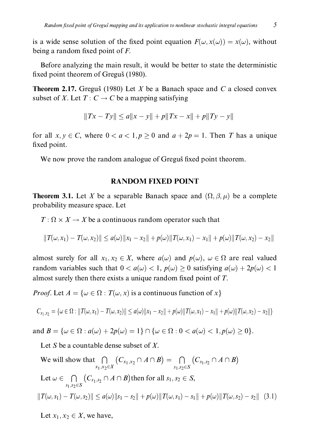is a wide sense solution of the fixed point equation  $T(\omega, x(\omega)) = x(\omega)$ , without being a random fixed point of  $F$ .

fixed point theorem of Greguš (1980).

**Theorem 2.17.** Greguš (1980) Let  $X$  be a Banach space and  $C$  a closed convex subset of X. Let  $T: C \to C$  be a mapping satisfying

$$
||Tx - Ty|| \le a||x - y|| + p||Tx - x|| + p||Ty - y||
$$

for all  $x, y \in C$ , where  $0 < a < 1, p \ge 0$  and  $a + 2p = 1$ . Then T has a unique fixed point.

We now prove the random analogue of Greguš fixed point theorem.

#### RANDOM FIXED POINT

**Theorem 3.1.** Let  $A$  be a separable banaeli space and  $(s_2, \beta, \mu)$  be a complete<br>probability measure space. Let probability measure space. Let

 $\overline{I}$   $\overline{I}$   $\overline{I}$   $\overline{I}$   $\overline{I}$   $\overline{I}$   $\overline{I}$   $\overline{I}$   $\overline{I}$   $\overline{I}$   $\overline{I}$   $\overline{I}$   $\overline{I}$   $\overline{I}$   $\overline{I}$   $\overline{I}$   $\overline{I}$   $\overline{I}$   $\overline{I}$   $\overline{I}$   $\overline{I}$   $\overline{I}$   $\overline{I}$   $\overline{I}$   $\overline{$ 

$$
||T(\omega, x_1) - T(\omega, x_2)|| \le a(\omega) ||x_1 - x_2|| + p(\omega) ||T(\omega, x_1) - x_1|| + p(\omega) ||T(\omega, x_2) - x_2||
$$

annost surely for an  $x_1, x_2 \in A$ , where  $u(w)$  and  $p(w)$ ,  $w \in s$  are fear valued random variables such that  $0 < u(\omega) < 1$ ,  $p(\omega) \ge 0$  satisfying  $u(\omega) + 2p(\omega) < 1$ almost surely then there exists a unique random fixed point of  $T$ .

*H*  $\omega$ *y*. Let  $A = \{ \omega \in \Omega : I(\omega, \lambda) \text{ is a continuous function of } \lambda \}$ 

$$
C_{x_1,x_2} = \{ \omega \in \Omega : ||T(\omega,x_1) - T(\omega,x_2)|| \le a(\omega) ||x_1 - x_2|| + p(\omega) ||T(\omega,x_1) - x_1|| + p(\omega) ||T(\omega,x_2) - x_2|| \}
$$

 $a \ln \Phi - \{ \omega \in \Omega : a(\omega) + 2p(\omega) - 1 \}$  ii  $\{ \omega \in \Omega : \omega \setminus a(\omega) \setminus 1, p(\omega) \leq 0 \}$ .

Let S be a countable dense subset of  $X$ .

We will show that 
$$
\bigcap_{x_1, x_2 \in X} (C_{x_1, x_2} \cap A \cap B) = \bigcap_{s_1, s_2 \in S} (C_{s_1, s_2} \cap A \cap B)
$$
  
Let  $\omega \in \bigcap_{s_1, s_2 \in S} (C_{s_1, s_2} \cap A \cap B)$  then for all  $s_1, s_2 \in S$ ,  
 $||T(\omega, s_1) - T(\omega, s_2)|| \le a(\omega) ||s_1 - s_2|| + p(\omega) ||T(\omega, s_1) - s_1|| + p(\omega) ||T(\omega, s_2) - s_2||$  (3.1)

Let  $x_1, x_2 \in X$ , we have,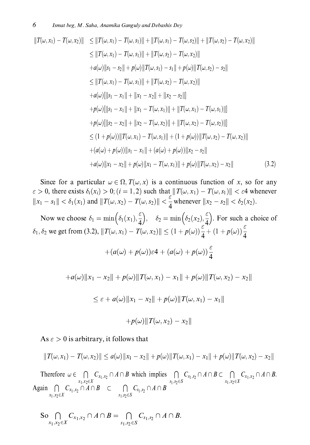$$
||T(\omega, x_1) - T(\omega, x_2)|| \le ||T(\omega, x_1) - T(\omega, s_1)|| + ||T(\omega, s_1) - T(\omega, s_2)|| + ||T(\omega, s_2) - T(\omega, x_2)||
$$
  
\n
$$
\le ||T(\omega, x_1) - T(\omega, s_1)|| + ||T(\omega, s_2) - T(\omega, x_2)||
$$
  
\n
$$
+ a(\omega)||s_1 - s_2|| + p(\omega)||T(\omega, s_1) - s_1|| + p(\omega)||T(\omega, s_2) - s_2||
$$
  
\n
$$
\le ||T(\omega, x_1) - T(\omega, s_1)|| + ||T(\omega, s_2) - T(\omega, x_2)||
$$
  
\n
$$
+ a(\omega)[||s_1 - x_1|| + ||x_1 - x_2|| + ||x_2 - s_2||]
$$
  
\n
$$
+ p(\omega)[||s_1 - x_1|| + ||x_1 - T(\omega, x_1)|| + ||T(\omega, x_1) - T(\omega, s_1)||]
$$
  
\n
$$
+ p(\omega)[||s_2 - x_2|| + ||x_2 - T(\omega, x_2)|| + ||T(\omega, x_2) - T(\omega, s_2)||]
$$
  
\n
$$
\le (1 + p(\omega))||T(\omega, x_1) - T(\omega, s_1)|| + (1 + p(\omega))||T(\omega, s_2) - T(\omega, x_2)||
$$
  
\n
$$
+ (a(\omega) + p(\omega))||s_1 - x_1|| + (a(\omega) + p(\omega))||x_2 - s_2||
$$
  
\n
$$
+ a(\omega)||x_1 - x_2|| + p(\omega)||x_1 - T(\omega, x_1)|| + p(\omega)||T(\omega, x_2) - x_2||
$$
\n(3.2)

Since for a particular  $\omega \in \Omega$ ,  $I(\omega, \lambda)$  is a commutual function of  $\lambda$ , so for any<br>  $\Omega$  there exists  $\delta(x) > \Omega$ ,  $(i = 1, 2)$  such that  $||T(i, x) - T(j, x)|| \leq \epsilon 4$  whenever  $\epsilon > 0$ , there exists  $v_i(x_i) > 0$ ,  $(i = 1, 2)$  such that  $||I(\omega, x_i) - I(\omega, s_i)|| < \epsilon$  whenever  $||x_1 - s_1|| < \delta_1(x_1)$  and  $||T(\omega, x_2) - T(\omega, s_2)|| < \frac{\epsilon}{4}$  whenever  $||x_2 - s_2|| < \delta_2(x_2)$ .

Now we choose  $\delta_1 = \min\left(\delta_1(x_1), \frac{\epsilon}{4}\right)$ ;<br>r  $\left(\delta_1(x_1), \frac{\varepsilon}{4}\right), \quad \delta_2 = \min\left(\delta_2(x_2), \frac{\varepsilon}{4}\right)$  $\left(\delta_2(x_2), \frac{\varepsilon}{4}\right)$ . For such a choice of  $\delta_1, \delta_2$  we get from (3.2),  $||T(\omega, x_1) - T(\omega, x_2)|| \le (1 + p(\omega)) \frac{c}{4} + (1 + p(\omega)) \frac{c}{4}$ 

$$
+(a(\omega)+p(\omega))\varepsilon4+(a(\omega)+p(\omega))\frac{\varepsilon}{4}
$$

$$
+a(\omega)\|x_1 - x_2\| + p(\omega)\|T(\omega, x_1) - x_1\| + p(\omega)\|T(\omega, x_2) - x_2\|
$$
  

$$
\leq \varepsilon + a(\omega)\|x_1 - x_2\| + p(\omega)\|T(\omega, x_1) - x_1\|
$$

As  $\varepsilon > 0$  is arbitrary, it follows that

$$
||T(\omega, x_1) - T(\omega, x_2)|| \le a(\omega) ||x_1 - x_2|| + p(\omega) ||T(\omega, x_1) - x_1|| + p(\omega) ||T(\omega, x_2) - x_2||
$$

 $\lVert \neg p(\omega) \rVert$   $\mathbf{1}(\omega, \mathcal{X}_2) = \mathcal{X}_2 \rVert$ 

Therefore  $\omega \in \bigcap_{x_1, x_2 \in X} C_{x_1, x_2} \cap A \cap B$  which implies  $\bigcap_{s_1, s_2 \in S} C_{s_1, s_2} \cap A \cap B \subset \bigcap_{x_1, x_2 \in X} C_{x_1, x_2} \cap A \cap B$ .<br>Again  $\bigcap_{x_1, x_2 \in X} C_{x_1, x_2} \cap A \cap B \subset \bigcap_{s_1, s_2 \in S} C_{s_1, s_2} \cap A \cap B$ 

So 
$$
\bigcap_{x_1, x_2 \in X} C_{x_1, x_2} \cap A \cap B = \bigcap_{s_1, s_2 \in S} C_{s_1, s_2} \cap A \cap B
$$
.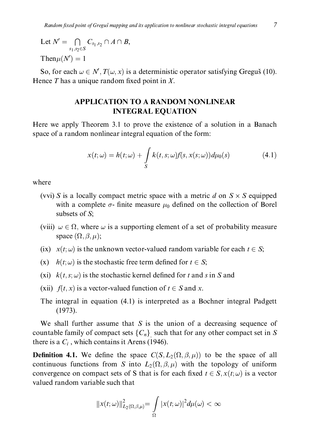Let 
$$
N' = \bigcap_{s_1, s_2 \in S} C_{s_1, s_2} \cap A \cap B
$$
,  
Then  $\mu(N') = 1$ 

So, for each  $\omega \in N', T(\omega, x)$  is a deterministic operator satisfying Greguš (10). Hence  $T$  has a unique random fixed point in  $X$ .

#### **APPLICATION TO A RANDOM NONLINEAR INTEGRAL EQUATION**

Here we apply Theorem 3.1 to prove the existence of a solution in a Banach space of a random nonlinear integral equation of the form:

$$
x(t; \omega) = h(t; \omega) + \int_{S} k(t, s; \omega) f(s, x(s; \omega)) d\mu_0(s)
$$
\n(4.1)

where

- (vvi) S is a locally compact metric space with a metric d on  $S \times S$  equipped with a complete  $\sigma$ - finite measure  $\mu_0$  defined on the collection of Borel subsets of S;
- (viii)  $\omega \in \Omega$ , where  $\omega$  is a supporting element of a set of probability measure space  $(\Omega, \beta, \mu)$ ;
- (ix)  $x(t; \omega)$  is the unknown vector-valued random variable for each  $t \in S$ ;
- (x)  $h(t; \omega)$  is the stochastic free term defined for  $t \in S$ ;
- (xi)  $k(t, s; \omega)$  is the stochastic kernel defined for t and s in S and
- (xii)  $f(t, x)$  is a vector-valued function of  $t \in S$  and x.
- The integral in equation (4.1) is interpreted as a Bochner integral Padgett  $(1973).$

We shall further assume that  $S$  is the union of a decreasing sequence of countable family of compact sets  $\{C_n\}$  such that for any other compact set in S there is a  $C_i$ , which contains it Arens (1946).

**Definition 4.1.** We define the space  $C(S, L_2(\Omega, \beta, \mu))$  to be the space of all continuous functions from S into  $L_2(\Omega, \beta, \mu)$  with the topology of uniform convergence on compact sets of S that is for each fixed  $t \in S$ ,  $x(t; \omega)$  is a vector valued random variable such that

$$
||x(t; \omega)||_{L_2(\Omega, \beta, \mu)}^2 = \int_{\Omega} |x(t; \omega)|^2 d\mu(\omega) < \infty
$$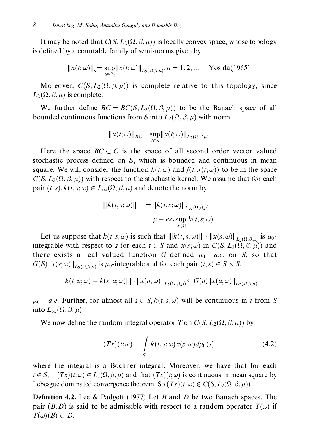It may be noted that  $C(S, L_2(\Omega, \beta, \mu))$  is locally convex space, whose topology is defined by a countable family of semi-norms given by

$$
||x(t; \omega)||_n = \sup_{t \in C_n} ||x(t; \omega)||_{L_2(\Omega, \beta, \mu)}, n = 1, 2, ... \text{ Yosida}(1965)
$$

Moreover,  $C(S, L_2(\Omega, \beta, \mu))$  is complete relative to this topology, since  $L_2(\Omega, \beta, \mu)$  is complete.

We further define  $BC = BC(S, L_2(\Omega, \beta, \mu))$  to be the Banach space of all bounded continuous functions from S into  $L_2(\Omega, \beta, \mu)$  with norm

$$
||x(t; \omega)||_{BC} = \sup_{t \in S} ||x(t; \omega)||_{L_2(\Omega, \beta, \mu)}
$$

Here the space  $BC \subset C$  is the space of all second order vector valued stochastic process defined on S, which is bounded and continuous in mean square. We will consider the function  $h(t; \omega)$  and  $f(t, x(t; \omega))$  to be in the space  $C(S, L_2(\Omega, \beta, \mu))$  with respect to the stochastic kernel. We assume that for each pair  $(t, s)$ ,  $k(t, s; \omega) \in L_{\infty}(\Omega, \beta, \mu)$  and denote the norm by

$$
|||k(t, s; \omega)|| = ||k(t, s; \omega)||_{L_{\infty}(\Omega, \beta, \mu)}
$$
  
=  $\mu - \operatorname{ess} \sup_{\omega \in \Omega} |k(t, s; \omega)|$ 

Let us suppose that  $k(t, s; \omega)$  is such that  $|||k(t, s; \omega)|| \cdot ||x(s; \omega)||_{L_2(\Omega, \beta, \mu)}$  is  $\mu_0$ integrable with respect to s for each  $t \in S$  and  $x(s; \omega)$  in  $C(S, L_2(\overline{\Omega}, \overline{\beta}, \mu))$  and there exists a real valued function G defined  $\mu_0 - a.e.$  on S, so that  $G(S)$ || $x(s; \omega)$ ||<sub>L2</sub>( $\Omega, \beta, \mu$ ) is  $\mu_0$ -integrable and for each pair  $(t, s) \in S \times S$ ,

$$
\| |k(t, u; \omega) - k(s, u; \omega)| \| \cdot \| x(u, \omega) \|_{L_2(\Omega, \beta, \mu)} \le G(u) \| x(u, \omega) \|_{L_2(\Omega, \beta, \mu)}
$$

 $\mu_0 - a.e.$  Further, for almost all  $s \in S$ ,  $k(t, s; \omega)$  will be continuous in t from S into  $L_{\infty}(\Omega, \beta, \mu)$ .

We now define the random integral operator T on  $C(S, L_2(\Omega, \beta, \mu))$  by

$$
(Tx)(t; \omega) = \int_{S} k(t, s; \omega) x(s; \omega) d\mu_0(s)
$$
\n(4.2)

where the integral is a Bochner integral. Moreover, we have that for each  $t \in S$ ,  $(Tx)(t; \omega) \in L_2(\Omega, \beta, \mu)$  and that  $(Tx)(t; \omega)$  is continuous in mean square by Lebesgue dominated convergence theorem. So  $(Tx)(t; \omega) \in C(S, L_2(\Omega, \beta, \mu))$ 

**Definition 4.2.** Lee & Padgett (1977) Let B and D be two Banach spaces. The pair  $(B, D)$  is said to be admissible with respect to a random operator  $T(\omega)$  if  $T(\omega)(B) \subset D.$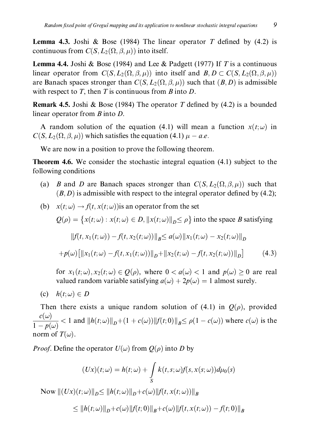**Lemma 4.3.** Joshi & Bose (1984) The linear operator T defined by (4.2) is continuous from  $C(S, L_2(\Omega, \beta, \mu))$  into itself.

**Lemma 4.4.** Joshi & Bose (1984) and Lee & Padgett (1977) If T is a continuous linear operator from  $C(S, L_2(\Omega, \beta, \mu))$  into itself and  $B, D \subset C(S, L_2(\Omega, \beta, \mu))$ are Banach spaces stronger than  $C(S, L_2(\Omega, \beta, \mu))$  such that  $(B, D)$  is admissible with respect to T, then T is continuous from B into D.

**Remark 4.5.** Joshi & Bose (1984) The operator T defined by (4.2) is a bounded linear operator from  $B$  into  $D$ .

A random solution of the equation (4.1) will mean a function  $x(t; \omega)$  in  $C(S, L_2(\Omega, \beta, \mu))$  which satisfies the equation (4.1)  $\mu - a.e.$ 

We are now in a position to prove the following theorem.

**Theorem 4.6.** We consider the stochastic integral equation  $(4.1)$  subject to the following conditions

- (a) *B* and *D* are Banach spaces stronger than  $C(S, L_2(\Omega, \beta, \mu))$  such that  $(B, D)$  is admissible with respect to the integral operator defined by (4.2);
- (b)  $x(t; \omega) \rightarrow f(t, x(t; \omega))$  is an operator from the set  $Q(\rho) = \{x(t; \omega) : x(t; \omega) \in D, ||x(t; \omega)||_{\rho} \le \rho\}$  into the space B satisfying  $||f(t, x_1(t; \omega)) - f(t, x_2(t; \omega))||_p \leq a(\omega)||x_1(t; \omega) - x_2(t; \omega)||_p$  $+p(\omega) [\Vert x_1(t;\omega) - f(t,x_1(t;\omega)) \Vert_{\mathcal{D}} + \Vert x_2(t;\omega) - f(t,x_2(t;\omega)) \Vert_{\mathcal{D}}]$  $(4.3)$ for  $x_1(t;\omega), x_2(t;\omega) \in Q(\rho)$ , where  $0 < a(\omega) < 1$  and  $p(\omega) \ge 0$  are real

valued random variable satisfying  $a(\omega) + 2p(\omega) = 1$  almost surely.

(c)  $h(t; \omega) \in D$ 

Then there exists a unique random solution of (4.1) in  $O(\rho)$ , provided  $\frac{c(\omega)}{1-p(\omega)}$  < 1 and  $||h(t;\omega)||_D+(1+c(\omega))||f(t;0)||_B \le \rho(1-c(\omega))$  where  $c(\omega)$  is the norm of  $T(\omega)$ .

*Proof.* Define the operator  $U(\omega)$  from  $Q(\rho)$  into D by

$$
(Ux)(t; \omega) = h(t; \omega) + \int_{S} k(t, s; \omega) f(s, x(s; \omega)) d\mu_0(s)
$$

Now  $||(Ux)(t;\omega)||_D \leq ||h(t;\omega)||_D + c(\omega)||f(t,x(t;\omega))||_B$ 

$$
\leq ||h(t; \omega)||_{D} + c(\omega)||f(t; 0)||_{B} + c(\omega)||f(t, x(t; \omega)) - f(t; 0)||_{B}
$$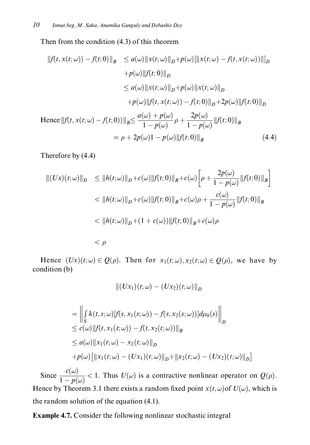Then from the condition  $(4.3)$  of this theorem

$$
||f(t, x(t; \omega)) - f(t; 0)||_B \le a(\omega) ||x(t; \omega)||_D + p(\omega) [||x(t; \omega) - f(t, x(t; \omega))||]_D
$$
  
+  $p(\omega) ||f(t; 0)||_D$   
 $\le a(\omega) ||x(t; \omega)||_D + p(\omega) ||x(t; \omega)||_D$   
+  $p(\omega) ||f(t, x(t; \omega)) - f(t; 0)||_D + 2p(\omega) ||f(t; 0)||_D$   
Hence  $||f(t, x(t; \omega) - f(t; 0))||_B \le \frac{a(\omega) + p(\omega)}{1 - p(\omega)} \rho + \frac{2p(\omega)}{1 - p(\omega)} ||f(t; 0)||_B$   
=  $\rho + 2p(\omega)1 - p(\omega) ||f(t; 0)||_B$  (4.4)

Therefore by (4.4)

$$
\begin{aligned} ||(Ux)(t;\omega)||_D &\leq ||h(t;\omega)||_D + c(\omega) ||f(t;0)||_B + c(\omega) \left[\rho + \frac{2p(\omega)}{1 - p(\omega)} ||f(t;0)||_B\right] \\ &< ||h(t;\omega)||_D + c(\omega) ||f(t;0)||_B + c(\omega)\rho + \frac{c(\omega)}{1 - p(\omega)} ||f(t;0)||_B \\ &< ||h(t;\omega)||_D + (1 + c(\omega)) ||f(t;0)||_B + c(\omega)\rho \end{aligned}
$$

 $\langle \rho$ 

Hence  $(Ux)(t;\omega) \in Q(\rho)$ . Then for  $x_1(t;\omega), x_2(t;\omega) \in Q(\rho)$ , we have by condition (b)

$$
\| (Ux_1)(t; \omega) - (Ux_2)(t; \omega) \|_D
$$

$$
= \left\| \int_{S} k(t,s;\omega)[f(s,x_1(s;\omega)) - f(s,x_2(s;\omega))]d\mu_0(s) \right\|_{D}
$$
  
\n
$$
\leq c(\omega) \|f(t,x_1(t;\omega)) - f(t,x_2(t;\omega))\|_{B}
$$
  
\n
$$
\leq a(\omega) \|x_1(t;\omega) - x_2(t;\omega)\|_{D}
$$
  
\n
$$
+ p(\omega) [\|x_1(t;\omega) - (Ux_1)(t;\omega)\|_{D} + \|x_2(t;\omega) - (Ux_2)(t;\omega)\|_{D}]
$$

Since  $\frac{c(\omega)}{1 - p(\omega)} < 1$ . Thus  $U(\omega)$  is a contractive nonlinear operator on  $Q(\rho)$ . Hence by Theorem 3.1 there exists a random fixed point  $x(t, \omega)$  of  $U(\omega)$ , which is the random solution of the equation  $(4.1)$ .

**Example 4.7.** Consider the following nonlinear stochastic integral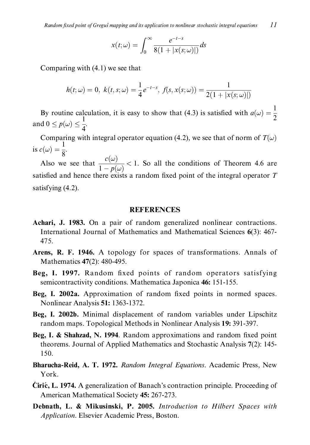$$
x(t; \omega) = \int_0^\infty \frac{e^{-t-s}}{8(1+|x(s; \omega)|)} ds
$$

Comparing with  $(4.1)$  we see that

$$
h(t; \omega) = 0, \ k(t, s; \omega) = \frac{1}{4} e^{-t-s}, \ f(s, x(s; \omega)) = \frac{1}{2(1 + |x(s; \omega)|)}
$$

By routine calculation, it is easy to show that (4.3) is satisfied with  $a(\omega) = \frac{1}{2}$ and  $0 \le p(\omega) \le \frac{1}{4}$ .

Comparing with integral operator equation (4.2), we see that of norm of  $T(\omega)$ is  $c(\omega) = \frac{1}{8}$ .

Also we see that  $\frac{c(\omega)}{1 - p(\omega)} < 1$ . So all the conditions of Theorem 4.6 are satisfied and hence there exists a random fixed point of the integral operator  $T$ satisfying (4.2).

#### **REFERENCES**

- Achari, J. 1983. On a pair of random generalized nonlinear contractions. International Journal of Mathematics and Mathematical Sciences 6(3): 467-475.
- Arens, R. F. 1946. A topology for spaces of transformations. Annals of Mathematics 47(2): 480-495.
- Beg, I. 1997. Random fixed points of random operators satisfying semicontractivity conditions. Mathematica Japonica 46: 151-155.
- Beg, I. 2002a. Approximation of random fixed points in normed spaces. Nonlinear Analysis 51: 1363-1372.
- Beg, I. 2002b. Minimal displacement of random variables under Lipschitz random maps. Topological Methods in Nonlinear Analysis 19: 391-397.
- Beg, I. & Shahzad, N. 1994. Random approximations and random fixed point theorems. Journal of Applied Mathematics and Stochastic Analysis 7(2): 145-150.
- Bharucha-Reid, A. T. 1972. Random Integral Equations. Academic Press, New York.
- Cirić, L. 1974. A generalization of Banach's contraction principle. Proceeding of American Mathematical Society 45: 267-273.
- Debnath, L. & Mikusinski, P. 2005. Introduction to Hilbert Spaces with Application. Elsevier Academic Press, Boston.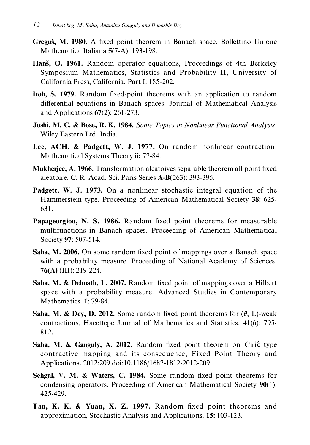- Greguš, M. 1980. A fixed point theorem in Banach space. Bollettino Unione Mathematica Italiana 5(7-A): 193-198.
- Hanš, O. 1961. Random operator equations, Proceedings of 4th Berkeley Symposium Mathematics, Statistics and Probability II, University of California Press, California, Part I: 185-202.
- Itoh, S. 1979. Random fixed-point theorems with an application to random differential equations in Banach spaces. Journal of Mathematical Analysis and Applications  $67(2)$ : 261-273.
- Joshi, M. C. & Bose, R. K. 1984. Some Topics in Nonlinear Functional Analysis. Wiley Eastern Ltd. India.
- Lee, ACH. & Padgett, W. J. 1977. On random nonlinear contraction. Mathematical Systems Theory ii: 77-84.
- **Mukherjee, A. 1966.** Transformation aleatoives separable theorem all point fixed aleatoire. C. R. Acad. Sci. Paris Series A-B(263): 393-395.
- Padgett, W. J. 1973. On a nonlinear stochastic integral equation of the Hammerstein type. Proceeding of American Mathematical Society 38: 625-631.
- Papageorgiou, N. S. 1986. Random fixed point theorems for measurable multifunctions in Banach spaces. Proceeding of American Mathematical Society 97: 507-514.
- Saha, M. 2006. On some random fixed point of mappings over a Banach space with a probability measure. Proceeding of National Academy of Sciences. 76(A) (III): 219-224.
- Saha, M. & Debnath, L. 2007. Random fixed point of mappings over a Hilbert space with a probability measure. Advanced Studies in Contemporary Mathematics. 1: 79-84.
- **Saha, M. & Dey, D. 2012.** Some random fixed point theorems for  $(\theta, L)$ -weak contractions, Hacettepe Journal of Mathematics and Statistics. 41(6): 795-812.
- Saha, M. & Ganguly, A. 2012. Random fixed point theorem on Ciric type contractive mapping and its consequence, Fixed Point Theory and Applications. 2012:209 doi:10.1186/1687-1812-2012-209
- Sehgal, V. M. & Waters, C. 1984. Some random fixed point theorems for condensing operators. Proceeding of American Mathematical Society 90(1): 425-429.
- Tan, K. K. & Yuan, X. Z. 1997. Random fixed point theorems and approximation, Stochastic Analysis and Applications. 15: 103-123.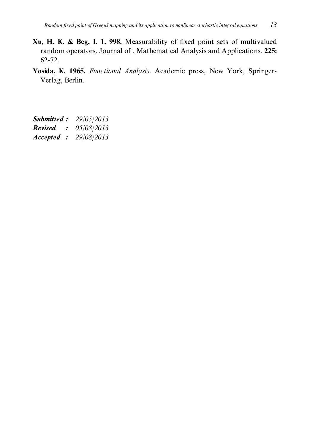- Xu, H. K. & Beg, I. 1. 998. Measurability of fixed point sets of multivalued random operators, Journal of . Mathematical Analysis and Applications. 225:  $62 - 72.$
- Yosida, K. 1965. Functional Analysis. Academic press, New York, Springer-Verlag, Berlin.
- **Submitted:** 29/05/2013 **Revised** : 05/08/2013 Accepted : 29/08/2013